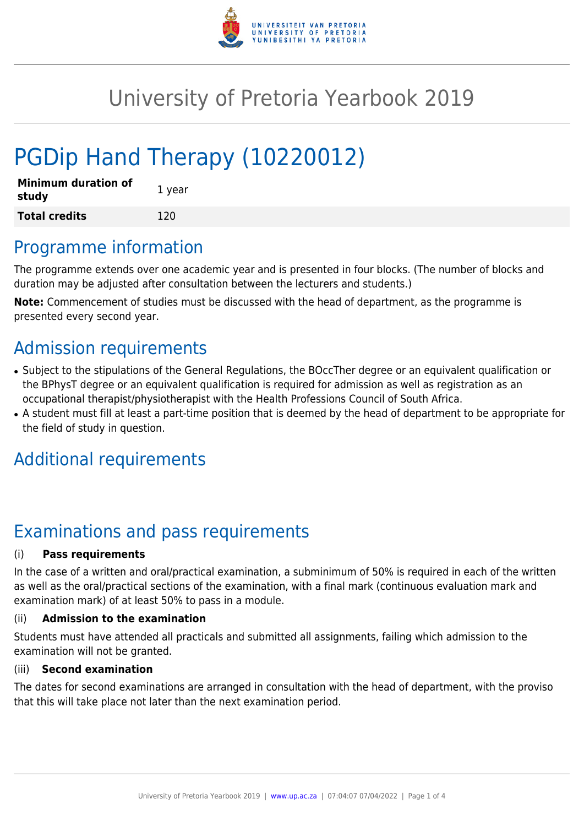

# University of Pretoria Yearbook 2019

# PGDip Hand Therapy (10220012)

| <b>Minimum duration of</b><br>study | 1 year |
|-------------------------------------|--------|
| <b>Total credits</b>                | 120    |

## Programme information

The programme extends over one academic year and is presented in four blocks. (The number of blocks and duration may be adjusted after consultation between the lecturers and students.)

**Note:** Commencement of studies must be discussed with the head of department, as the programme is presented every second year.

# Admission requirements

- Subject to the stipulations of the General Regulations, the BOccTher degree or an equivalent qualification or the BPhysT degree or an equivalent qualification is required for admission as well as registration as an occupational therapist/physiotherapist with the Health Professions Council of South Africa.
- A student must fill at least a part-time position that is deemed by the head of department to be appropriate for the field of study in question.

# Additional requirements

# Examinations and pass requirements

### (i) **Pass requirements**

In the case of a written and oral/practical examination, a subminimum of 50% is required in each of the written as well as the oral/practical sections of the examination, with a final mark (continuous evaluation mark and examination mark) of at least 50% to pass in a module.

### (ii) **Admission to the examination**

Students must have attended all practicals and submitted all assignments, failing which admission to the examination will not be granted.

#### (iii) **Second examination**

The dates for second examinations are arranged in consultation with the head of department, with the proviso that this will take place not later than the next examination period.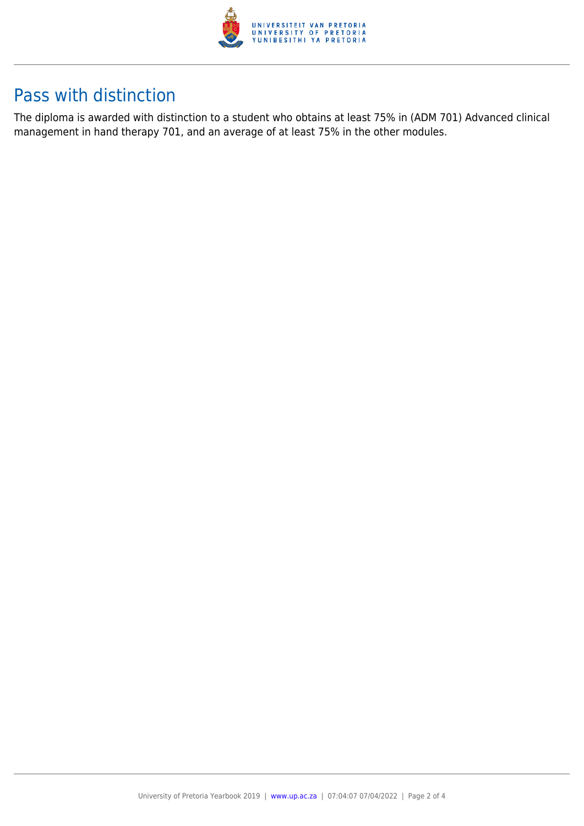

# Pass with distinction

The diploma is awarded with distinction to a student who obtains at least 75% in (ADM 701) Advanced clinical management in hand therapy 701, and an average of at least 75% in the other modules.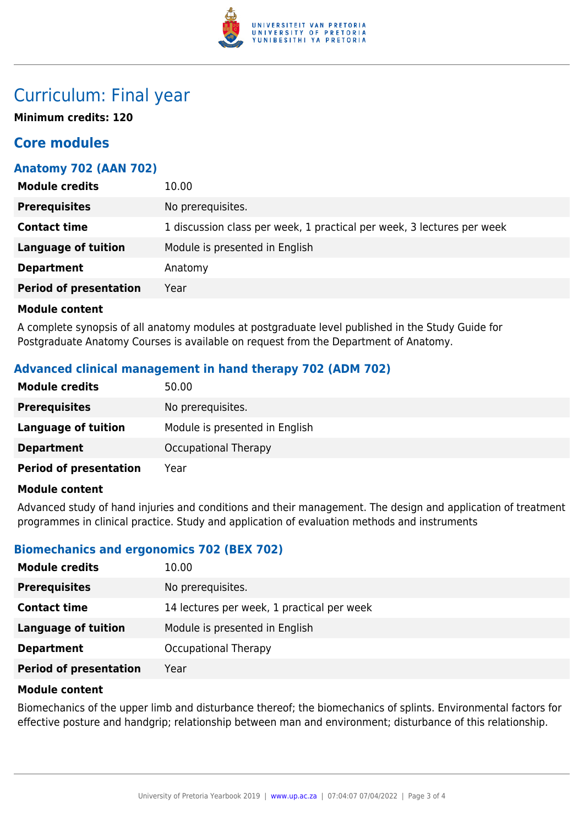

## Curriculum: Final year

**Minimum credits: 120**

### **Core modules**

### **Anatomy 702 (AAN 702)**

| <b>Module credits</b>         | 10.00                                                                  |
|-------------------------------|------------------------------------------------------------------------|
| <b>Prerequisites</b>          | No prerequisites.                                                      |
| <b>Contact time</b>           | 1 discussion class per week, 1 practical per week, 3 lectures per week |
| <b>Language of tuition</b>    | Module is presented in English                                         |
| <b>Department</b>             | Anatomy                                                                |
| <b>Period of presentation</b> | Year                                                                   |

#### **Module content**

A complete synopsis of all anatomy modules at postgraduate level published in the Study Guide for Postgraduate Anatomy Courses is available on request from the Department of Anatomy.

### **Advanced clinical management in hand therapy 702 (ADM 702)**

| <b>Module credits</b>         | 50.00                          |
|-------------------------------|--------------------------------|
| <b>Prerequisites</b>          | No prerequisites.              |
| <b>Language of tuition</b>    | Module is presented in English |
| <b>Department</b>             | <b>Occupational Therapy</b>    |
| <b>Period of presentation</b> | Year                           |

#### **Module content**

Advanced study of hand injuries and conditions and their management. The design and application of treatment programmes in clinical practice. Study and application of evaluation methods and instruments

### **Biomechanics and ergonomics 702 (BEX 702)**

| <b>Module credits</b>         | 10.00                                      |
|-------------------------------|--------------------------------------------|
| <b>Prerequisites</b>          | No prerequisites.                          |
| <b>Contact time</b>           | 14 lectures per week, 1 practical per week |
| Language of tuition           | Module is presented in English             |
| <b>Department</b>             | Occupational Therapy                       |
| <b>Period of presentation</b> | Year                                       |

#### **Module content**

Biomechanics of the upper limb and disturbance thereof; the biomechanics of splints. Environmental factors for effective posture and handgrip; relationship between man and environment; disturbance of this relationship.